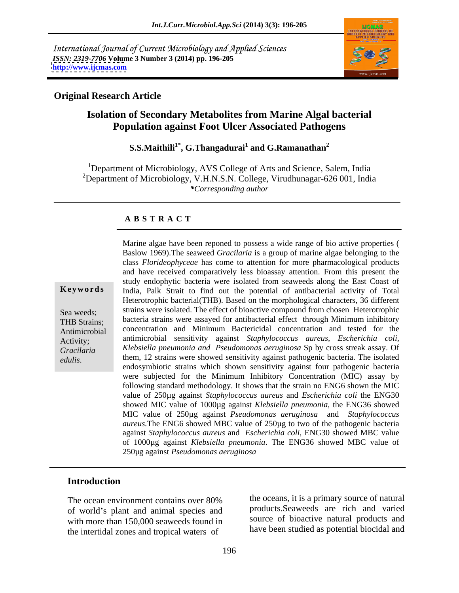International Journal of Current Microbiology and Applied Sciences *ISSN: 2319-7706* **Volume 3 Number 3 (2014) pp. 196-205 <http://www.ijcmas.com>**



### **Original Research Article**

# **Isolation of Secondary Metabolites from Marine Algal bacterial Population against Foot Ulcer Associated Pathogens**

#### $\mathbf{S.S.Maithili}^{1*}, \mathbf{G.T}$ hangadurai $^1$  and  $\mathbf{G.R}$ amanathan $^2$ **and G.Ramanathan<sup>2</sup>**

<sup>1</sup>Department of Microbiology, AVS College of Arts and Science, Salem, India <sup>2</sup>Department of Microbiology, V.H.N.S.N. College, Virudhunagar-626 001, India *\*Corresponding author*

## **A B S T R A C T**

**Keywords** India, Palk Strait to find out the potential of antibacterial activity of Total Sea weeds; strains were isolated. The effect of bioactive compound from chosen Heterotrophic THB Strains; bacteria strains were assayed for antibacterial effect through Minimum inhibitory Antimicrobial concentration and Minimum Bactericidal concentration and tested for the Activity; antimicrobial sensitivity against *Staphylococcus aureus, Escherichia coli, Gracilaria Klebsiella pneumonia and Pseudomonas aeruginosa* Sp by cross streak assay. Of *Marine algae have been reponed to possess a wide range of bio active properties (<br>
Baslow 1969).The seaweed Gracilaria is a group of marine algae belonging to the<br>
class <i>Florideophyceae* has come to attention for more ph Baslow 1969).The seaweed *Gracilaria* is a group of marine algae belonging to the class *Florideophyceae* has come to attention for more pharmacological products and have received comparatively less bioassay attention. From this present the study endophytic bacteria were isolated from seaweeds along the East Coast of Heterotrophic bacterial(THB). Based on the morphological characters, 36 different them, 12 strains were showed sensitivity against pathogenic bacteria. The isolated endosymbiotic strains which shown sensitivity against four pathogenic bacteria were subjected for the Minimum Inhibitory Concentration (MIC) assay by following standard methodology. It shows that the strain no ENG6 shown the MIC value of 250µg against *Staphylococcus aureus* and *Escherichia coli* the ENG30 showed MIC value of 1000µg against *Klebsiella pneumonia,* the ENG36 showed MIC value of 250µg against *Pseudomonas aeruginosa* and *Staphylococcus aureus.*The ENG6 showed MBC value of 250µg to two of the pathogenic bacteria against *Staphylococcus aureus* and *Escherichia coli,* ENG30 showed MBC value of 1000µg against *Klebsiella pneumonia*. The ENG36 showed MBC value of 250µg against *Pseudomonas aeruginosa*

### **Introduction**

The ocean environment contains over 80% the oceans, it is a primary source of natural of world's plant and animal species and with more than 150,000 seaweeds found in the intertidal zones and tropical waters of

the oceans, it is a primary source of natural products.Seaweeds are rich and varied source of bioactive natural products and have been studied as potential biocidal and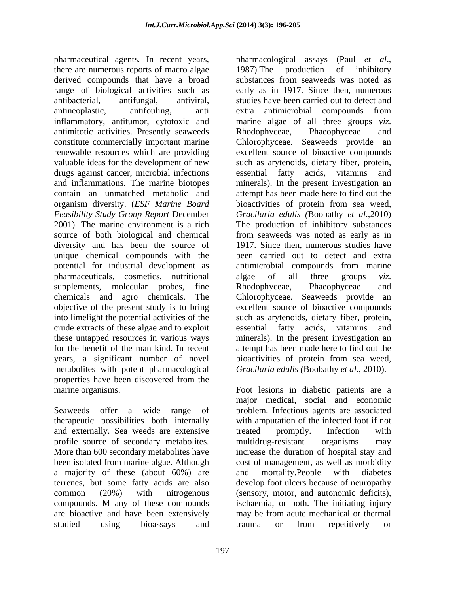pharmaceutical agents. In recent years, pharmacological assays (Paul et al., there are numerous reports of macro algae 1987). The production of inhibitory derived compounds that have a broad substances from seaweeds was noted as range of biological activities such as antibacterial, antifungal, antiviral, studies have been carried out to detect and antineoplastic, antifouling, anti extra antimicrobial compounds from inflammatory, antitumor, cytotoxic and marine algae of all three groups *viz*. antimitotic activities. Presently seaweeds constitute commercially important marine Chlorophyceae. Seaweeds provide an renewable resources which are providing excellent source of bioactive compounds valuable ideas for the development of new such as arytenoids, dietary fiber, protein, drugs against cancer, microbial infections essential fatty acids, vitamins and and inflammations. The marine biotopes minerals). In the present investigation an contain an unmatched metabolic and attempt has been made here to find out the organism diversity. (*ESF Marine Board Feasibility Study Group Report* December *Gracilaria edulis (*Boobathy *et al*.,2010) 2001). The marine environment is a rich The production of inhibitory substances source of both biological and chemical from seaweeds was noted as early as in diversity and has been the source of unique chemical compounds with the potential for industrial development as pharmaceuticals, cosmetics, nutritional algae of all three groups *viz.* supplements, molecular probes, fine Rhodophyceae, Phaeophyceae and chemicals and agro chemicals. The Chlorophyceae. Seaweeds provide an objective of the present study is to bring excellent source of bioactive compounds into limelight the potential activities of the such as arytenoids, dietary fiber, protein, crude extracts of these algae and to exploit these untapped resources in various ways minerals). In the present investigation an for the benefit of the man kind. In recent attempt has been made here to find out the years, a significant number of novel bioactivities of protein from sea weed, metabolites with potent pharmacological properties have been discovered from the

Seaweeds offer a wide range of problem. Infectious agents are associated therapeutic possibilities both internally with amputation of the infected foot if not and externally. Sea weeds are extensive treated promptly. Infection with profile source of secondary metabolites. More than 600 secondary metabolites have increase the duration of hospital stay and been isolated from marine algae. Although a majority of these (about 60%) are and mortality. People with diabetes terrenes, but some fatty acids are also develop foot ulcers because of neuropathy common (20%) with nitrogenous (sensory, motor, and autonomic deficits), compounds. M any of these compounds are bioactive and have been extensively may be from acute mechanical or thermal studied using bioassays and

pharmacological assays (Paul *et al*., 1987).The production of inhibitory substances from seaweeds was noted as early as in 1917. Since then, numerous marine algae of all three groups *viz*. Rhodophyceae, Phaeophyceae and essential fatty acids, vitamins bioactivities of protein from sea weed, 1917. Since then, numerous studies have been carried out to detect and extra antimicrobial compounds from marine algae of all three groups *viz*. Rhodophyceae, Phaeophyceae and essential fatty acids, vitamins and *Gracilaria edulis (*Boobathy *et al*., 2010).

marine organisms. The state of the state of the state of the state of the state of the state of the state of the state of the state of the state of the state of the state of the state of the state of the state of the state major medical, social and economic treated promptly. Infection with multidrug-resistant organisms may cost of management, as well as morbidity and mortality.People with diabetes ischaemia, or both. The initiating injury trauma or from repetitively or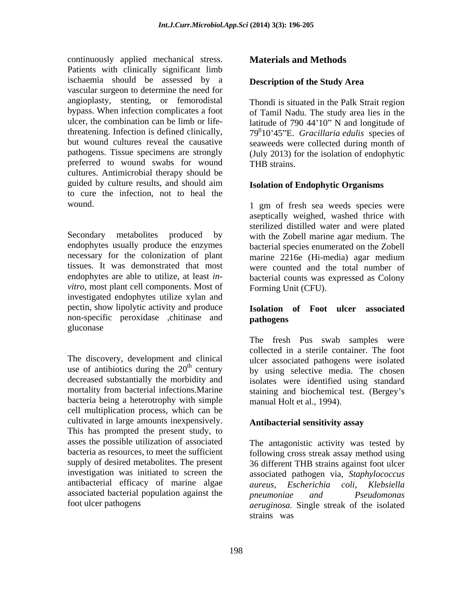continuously applied mechanical stress. **Materials and Methods** Patients with clinically significant limb ischaemia should be assessed by a vascular surgeon to determine the need for angioplasty, stenting, or femorodistal bypass. When infection complicates a foot pathogens. Tissue specimens are strongly preferred to wound swabs for wound THB strains. cultures. Antimicrobial therapy should be guided by culture results, and should aim **Isolation of Endophytic Organisms** to cure the infection, not to heal the

Secondary metabolites produced by with the Zobell marine agar medium. The endophytes usually produce the enzymes bacterial species enumerated on the Zobell necessary for the colonization of plant marine 2216e (Hi-media) agar medium tissues. It was demonstrated that most were counted and the total number of endophytes are able to utilize, at least *in-* bacterial counts was expressed as Colony *vitro,* most plant cell components. Most of investigated endophytes utilize xylan and pectin, show lipolytic activity and produce non-specific peroxidase ,chitinase and **pathogens** gluconase

The discovery, development and clinical ulcer associated pathogens were isolated use of antibiotics during the  $20<sup>th</sup>$  century by using selective media. The chosen decreased substantially the morbidity and mortality from bacterial infections. Marine staining and biochemical test. (Bergey's bacteria being a heterotrophy with simple cell multiplication process, which can be cultivated in large amounts inexpensively. This has prompted the present study, to asses the possible utilization of associated bacteria as resources, to meet the sufficient following cross streak assay method using supply of desired metabolites. The present 36 different THB strains against foot ulcer investigation was initiated to screen the associated pathogen via, *Staphylococcus*  antibacterial efficacy of marine algae aureus. Escherichia coli. Klebsiella associated bacterial population against the *pneumoniae* and *Pseudomonas* continuously applied mechanical stress. **Materials and Methods**<br>
Patients significations and the second by a packing significant fines<br>
behind the second by the second by the second by the state of the state<br>
results are t

### **Description of the Study Area**

ulcer, the combination can be limb or life-<br>latitude of 790 44'10" N and longitude of threatening. Infection is defined clinically,  $79^010'45''E$ . *Gracillaria edulis* species of but wound cultures reveal the causative seaweeds were collected during month of Thondi is situated in the Palk Strait region of Tamil Nadu. The study area lies in the (July 2013) for the isolation of endophytic THB strains.

### **Isolation of Endophytic Organisms**

wound. 1 gm of fresh sea weeds species were aseptically weighed, washed thrice with sterilized distilled water and were plated marine 2216e (Hi-media) agar medium Forming Unit (CFU).

### **Isolation of Foot ulcer associated pathogens**

The fresh Pus swab samples were collected in a sterile container. The foot isolates were identified using standard manual Holt et al., 1994).

### **Antibacterial sensitivity assay**

foot ulcer pathogens and the isolated arruginosa. Single streak of the isolated The antagonistic activity was tested by *aureus, Escherichia coli, Klebsiella pneumoniae and Pseudomonas aeruginosa.* Single streak of the isolated strains was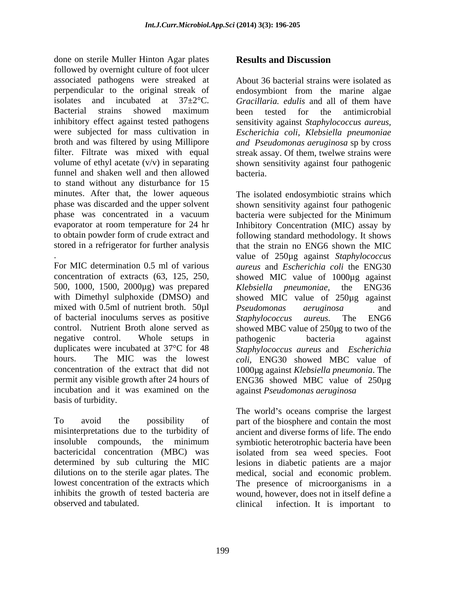done on sterile Muller Hinton Agar plates **Results and Discussion** followed by overnight culture of foot ulcer associated pathogens were streaked at perpendicular to the original streak of endosymbiont from the marine algae isolates and incubated at 37±2°C. *Gracillaria. edulis* and all of them have Bacterial strains showed maximum been tested for the antimicrobial inhibitory effect against tested pathogens sensitivity against *Staphylococcus aureus,* were subjected for mass cultivation in *Escherichia coli, Klebsiella pneumoniae* broth and was filtered by using Millipore *and Pseudomonas aeruginosa* sp by cross filter. Filtrate was mixed with equal streak assay. Of them, twelwe strains were volume of ethyl acetate (v/v) in separating shown sensitivity against four pathogenic funnel and shaken well and then allowed to stand without any disturbance for 15 minutes. After that, the lower aqueous The isolated endosymbiotic strains which phase was discarded and the upper solvent phase was concentrated in a vacuum bacteria were subjected for the Minimum evaporator at room temperature for 24 hr Inhibitory Concentration (MIC) assay by to obtain powder form of crude extract and following standard methodology. It shows

concentration of extracts (63, 125, 250, showed MIC value of 1000µg against 500, 1000, 1500, 2000µg) was prepared with Dimethyl sulphoxide (DMSO) and showed MIC value of 250µg against mixed with 0.5ml of nutrient broth. 50µl *Pseudomonas aeruginosa* and of bacterial inoculums serves as positive Staphylococcus aureus. The ENG6 control. Nutrient Broth alone served as showed MBC value of 250µg to two of the negative control. Whole setups in pathogenic bacteria against duplicates were incubated at 37°C for 48 hours. The MIC was the lowest *coli,* ENG30 showed MBC value of concentration of the extract that did not 1000µg against *Klebsiella pneumonia*. The permit any visible growth after 24 hours of ENG36 showed MBC value of 250µg incubation and it was examined on the basis of turbidity.

To avoid the possibility of part of the biosphere and contain the most misinterpretations due to the turbidity of ancient and diverse forms of life. The endo insoluble compounds, the minimum symbiotic heterotrophic bacteria have been bactericidal concentration (MBC) was isolated from sea weed species. Foot determined by sub culturing the MIC lesions in diabetic patients are a major dilutions on to the sterile agar plates. The medical, social and economic problem. lowest concentration of the extracts which The presence of microorganisms in a inhibits the growth of tested bacteria are wound, however, does not in itself define a

# **Results and Discussion**

About 36 bacterial strains were isolated as been tested for the antimicrobial bacteria.

stored in a refrigerator for further analysis that the strain no ENG6 shown the MIC value of 250µg against *Staphylococcus*<br>For MIC determination 0.5 ml of various aureus and *Escherichia coli* the ENG30 shown sensitivity against four pathogenic bacteria were subjected for the Minimum value of 250µg against *Staphylococcus aureus* and *Escherichia coli* the ENG30 *Klebsiella pneumoniae,* the ENG36 *Pseudomonas aeruginosa* and *Staphylococcus aureus.* The ENG6 pathogenic bacteria against *Staphylococcus aureus* and *Escherichia*  against *Pseudomonas aeruginosa*

observed and tabulated. clinical infection. It is important to The world's oceans comprise the largest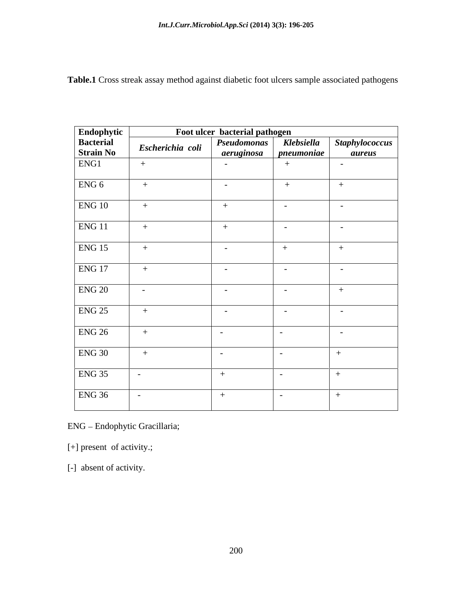**Table.1** Cross streak assay method against diabetic foot ulcers sample associated pathogens

| Endophytic<br>Bacterial<br>Strain No | $\sum_{i=1}^{n}$ Escherichia coli $\sqrt{\frac{Pseudomonas}{Pseudomonas}}$ Klebsiella | Foot ulcer bacterial pathogen |                  |                                 |
|--------------------------------------|---------------------------------------------------------------------------------------|-------------------------------|------------------|---------------------------------|
|                                      |                                                                                       | aeruginosa pneumoniae         |                  | Staphylococcus<br><i>aureus</i> |
| ENG1                                 |                                                                                       | $\sim$                        | $+$              | $\sim$ $-$                      |
|                                      |                                                                                       |                               |                  |                                 |
| ENG <sub>6</sub>                     | $+$                                                                                   | $\sim$ $ \sim$                | $+$              |                                 |
| ENG <sub>10</sub>                    |                                                                                       |                               | $\sim$           | $\sim$ $-$                      |
| ENG <sub>11</sub>                    |                                                                                       |                               | $\sim$ $-$       | $\sim$                          |
|                                      |                                                                                       |                               |                  |                                 |
| ENG <sub>15</sub>                    |                                                                                       | $\sim$                        | $+$              |                                 |
| ENG <sub>17</sub>                    | $+$                                                                                   | $\sim$                        | $\sim$           | $\sim$ $-$                      |
| <b>ENG 20</b>                        | $\sim$                                                                                | $\sim$ $ \sim$                | $\sim$ $-$       | $+$                             |
| ENG <sub>25</sub>                    |                                                                                       |                               |                  |                                 |
|                                      | $+$                                                                                   | $\sim$                        | $\sim$           | $\sim$ $-$                      |
| ENG26                                | $+$                                                                                   | $\sim$                        | $\sim$ 100 $\mu$ | $\sim$ $ \sim$                  |
| <b>ENG 30</b>                        | $+$                                                                                   | $\sim$                        | $\sim$           | $+$                             |
| <b>ENG 35</b>                        |                                                                                       |                               |                  |                                 |
|                                      |                                                                                       | $+$                           | $\sim$ $-$       |                                 |
| <b>ENG 36</b>                        |                                                                                       | $+$                           | $\sim$ $-$       |                                 |

ENG – Endophytic Gracillaria;<br>[+] present of activity.;<br>[-] absent of activity.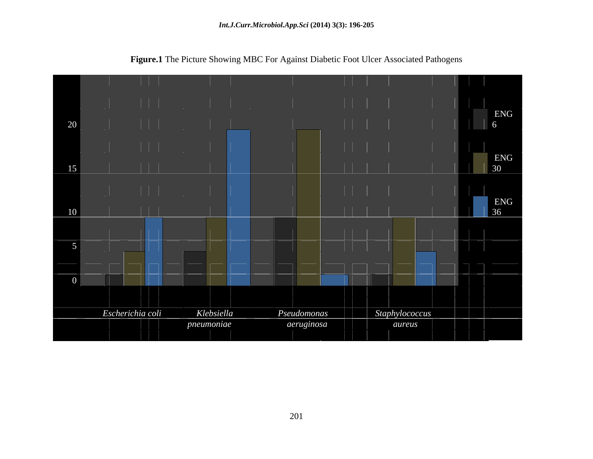

**Figure.1** The Picture Showing MBC For Against Diabetic Foot Ulcer Associated Pathogens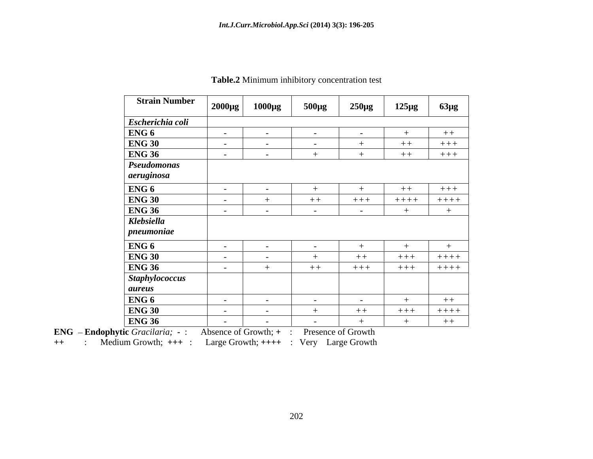| <b>Strain Number</b>                        | $\vert$ 2000µg $\vert$ | $1000\mu g$       | $500\mu g$ | $250\mu g$ | $125\mu g$ | $63\mu$ g   |
|---------------------------------------------|------------------------|-------------------|------------|------------|------------|-------------|
| Escherichia coli                            |                        |                   |            |            |            |             |
|                                             | $\sim$ $-$             | $\sim$ $-$        | $\sim$ $-$ | $\sim$ $-$ |            | $+ +$       |
| $\frac{\text{ENG } 6}{\text{ENG } 30}$      | $\sim$ $ \sim$         |                   | $\sim$     |            | $++$       | $+++$       |
| <b>ENG 36</b>                               | $\sim$ $  \sim$        | $\sim$ $ \sim$    |            |            | $++$       | $+++$       |
|                                             |                        |                   |            |            |            |             |
| Pseudomonas                                 |                        |                   |            |            |            |             |
|                                             |                        |                   |            |            |            |             |
| ENG 6<br>ENG 30<br>ENG 36<br>Klebsiella     | $\sim$                 |                   |            |            | $++$       | $+++$       |
|                                             | $\sim$ $ \sim$         |                   | $++$       | $+++$      | $+++++$    | $+++++$     |
|                                             |                        | $\sim$ 100 $\sim$ | $\sim$ $-$ | $\sim$ $-$ |            |             |
|                                             |                        |                   |            |            |            |             |
| $ $ pneumoniae                              |                        |                   |            |            |            |             |
|                                             | $\sim$                 | $\sim$            | $\sim$     |            |            |             |
| ENG <sub>6</sub><br>ENG <sub>30</sub>       | $\sim$                 | $\sim$            |            | $++$       | $+++$      | $++++$      |
|                                             | $\sim$ $\sim$          |                   | $+ +$      | $+++$      | $++++$     | $+ + + +$   |
|                                             |                        |                   |            |            |            |             |
|                                             |                        |                   |            |            |            |             |
| ENG 36<br>Staphylococcus<br>aureus<br>ENG 6 |                        |                   |            |            |            |             |
|                                             | $\sim$                 | $\sim$ $-$        | $\sim$ $-$ | $\sim$ $-$ |            | $+ +$       |
| <b>ENG 30</b>                               | $\sim$ $\sim$          | $\sim$            |            | $++$       | $++++$     | $+ + + + +$ |
| <b>ENG 36</b>                               | $\sim$ $-$             | $\sim$ $-$        | $\sim$     |            |            | $++$        |

#### **Table.2** Minimum inhibitory concentration test

**ENG Endophytic** *Gracilaria;* **-** : Absence of Growth; **+** : Presence of Growth

**++** : Medium Growth; **+++** : Large Growth; **++++** : Very Large Growth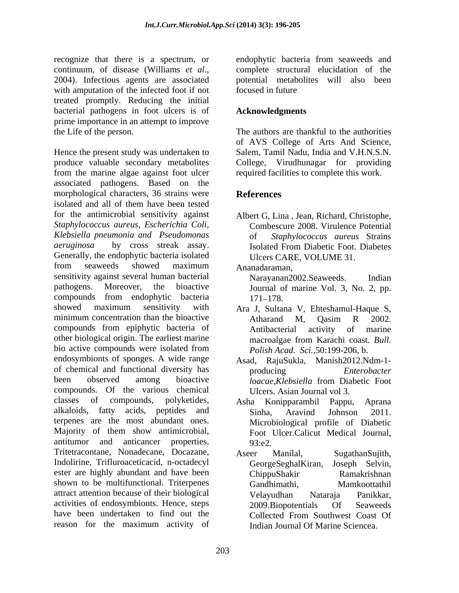recognize that there is a spectrum, or endophytic bacteria from seaweeds and continuum, of disease (Williams *et al.*, complete structural elucidation of the 2004). Infectious agents are associated potential metabolites will also been with amputation of the infected foot if not focused in future treated promptly. Reducing the initial bacterial pathogens in foot ulcers is of prime importance in an attempt to improve the Life of the person. The authors are thankful to the authorities

Hence the present study was undertaken to Salem, Tamil Nadu, India and V.H.N.S.N. produce valuable secondary metabolites College, Virudhunagar for providing from the marine algae against foot ulcer associated pathogens. Based on the morphological characters, 36 strains were **References** isolated and all of them have been tested for the antimicrobial sensitivity against *Staphylococcus aureus, Escherichia Coli, Klebsiella pneumonia and Pseudomonas aeruginosa* by cross streak assay. Generally, the endophytic bacteria isolated from seaweeds showed maximum sensitivity against several human bacterial Narayanan2002. Seaweeds. Indian pathogens. Moreover, the bioactive Journal of marine Vol. 3, No. 2, pp. compounds from endophytic bacteria showed maximum sensitivity with Ara J, Sultana V, Ehteshamul-Haque S, minimum concentration than the bioactive Atharand M, Oasim R 2002. compounds from epiphytic bacteria of other biological origin. The earliest marine macroalgae from Karachi coast. Bull. bio active compounds were isolated from endosymbionts of sponges. A wide range Asad, RajuSukla, Manish2012.Ndm-1 of chemical and functional diversity has producing Enterobacter been observed among bioactive *loacae.Klebsiella* from Diabetic Foot compounds. Of the various chemical classes of compounds, polyketides, alkaloids, fatty acids, peptides and Sinha. Aravind Johnson 2011. terpenes are the most abundant ones. Majority of them show antimicrobial, antitumor and anticancer properties. 93.e2 Tritetracontane, Nonadecane, Docazane, Aseer Manilal, SugathanSujith, Indolirine, Trifluroaceticacid, n-octadecyl GeorgeSeghalKiran, Joseph Selvin, ester are highly abundant and have been ChippuShakir Ramakrishnan shown to be multifunctional. Triterpenes Gandhimathi. Mamkoottathil attract attention because of their biological activities of endosymbionts. Hence, steps <br>2009.Biopotentials Of Seaweeds have been undertaken to find out the Collected From Southwest Coast Of reason for the maximum activity of

complete structural elucidation of the potential metabolites will also been focused in future that the state of  $\mathcal{L}$  is the state of  $\mathcal{L}$ 

## **Acknowledgments**

of AVS College of Arts And Science, required facilities to complete this work.

# **References**

Albert G, Lina , Jean, Richard, Christophe, Combescure 2008. Virulence Potential of *Staphylococcus aureus* Strains Isolated From Diabetic Foot. Diabetes Ulcers CARE, VOLUME 31.

Ananadaraman,

Narayanan2002.Seaweeds. Indian 171–178.

- Atharand M, Qasim R 2002. Antibacterial activity of marine macroalgae from Karachi coast. *Bull. Polish Acad. Sci.,*50:199-206, b.
- producing *Enterobacter loacae,Klebsiella* from Diabetic Foot Ulcers. Asian Journal vol 3.
- Asha Konipparambil Pappu, Aprana Sinha, Aravind Johnson 2011. Microbiological profile of Diabetic Foot Ulcer.Calicut Medical Journal,
- 93:e2. Aseer Manilal, SugathanSujith, GeorgeSeghalKiran, Joseph Selvin, ChippuShakir Ramakrishnan Gandhimathi, Mamkoottathil Velayudhan Nataraja Panikkar, 2009.Biopotentials Of Seaweeds Collected From Southwest Coast Of Indian Journal Of Marine Sciencea.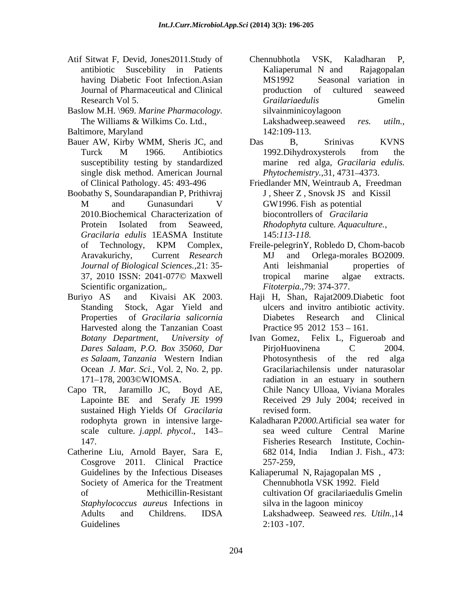- Atif Sitwat F, Devid, Jones 2011. Study of Chennubhotla VSK, Kaladharan P,
- Baslow M.H. \969. *Marine Pharmacology.*
- 
- Bauer AW, Kirby WMM, Sheris JC, and Das B, Srinivas KVNS susceptibility testing by standardized single disk method. American Journal
- Boobathy S, Soundarapandian P, Prithivraj 2010.Biochemical Characterization of *Gracilaria edulis* 1EASMA Institute
- Buriyo AS and Kivaisi AK 2003. Haji H, Shan, Rajat2009.Diabetic foot Harvested along the Tanzanian Coast
- 
- Catherine Liu, Arnold Bayer, Sara E, 682 014, India Indian J. Fish., 473: Cosgrove 2011. Clinical Practice Guidelines by the Infectious Diseases Society of America for the Treatment *Staphylococcus aureus* Infections in Guidelines  $2:103-107$ .
- antibiotic Suscebility in Patients having Diabetic Foot Infection.Asian MS1992 Seasonal variation in Journal of Pharmaceutical and Clinical Research Vol 5. The Contract Contract Grailariaedulis Green General Contract Contract Contract Contract Contract Contract Contract Contract Contract Contract Contract Contract Contract Contract Contract Contract Contract C The Williams & Wilkims Co. Ltd., Lakshadweep.seaweed res. *utiln.*, Baltimore, Maryland 142:109-113. Chennubhotla VSK, Kaladharan P, Kaliaperumal N and Rajagopalan MS1992 Seasonal variation in production of cultured seaweed *Grailariaedulis* Gmelin silvainminicoylagoon Lakshadweep.seaweed 142:109-113.
	- Turck M 1966. Antibiotics 1992.Dihydroxysterols from the Das B, Srinivas KVNS 1992.Dihydroxysterols from the marine red alga, *Gracilaria edulis. Phytochemistry.*, 31, 4731-4373.
	- of Clinical Pathology. 45: 493-496 Friedlander MN, Weintraub A, Freedman M and Gunasundari V GW1996. Fish as potential Protein Isolated from Seaweed, *Rhodophyta* culture. Aquaculture., J , Sheer Z , Snovsk JS and Kissil GW1996. Fish as potential biocontrollers of *Gracilaria Rhodophyta* culture*. Aquaculture.,* 145:*113-118.*
	- of Technology, KPM Complex, Aravakurichy, Current *Research Journal of Biological Sciences.,*21: 35- 37, 2010 ISSN: 2041-077© Maxwell Scientific organization,. *Fitoterpia.*,79: 374-377. Freile-pelegrinY, Robledo D, Chom-bacob MJ and Orlega-morales BO2009. Anti leishmanial properties of tropical marine algae extracts.
	- Standing Stock, Agar Yield and ulcers and invitro antibiotic activity. Properties of *Gracilaria salicornia* Diabetes Research and Clinical Practice 95 2012 153 – 161.
- *Botany Department, University of* Ivan Gomez, Felix L, Figueroab and *Dares Salaam, P.O. Box 35060, Dar es Salaam, Tanzania* Western Indian Ocean *J. Mar. Sci.,* Vol. 2, No. 2, pp. Gracilariachilensis under naturasolar 171 178, 2003©WIOMSA. radiation in an estuary in southern Capo TR, Jaramillo JC, Boyd AE, Chile Nancy Ulloaa, Viviana Morales Lapointe BE and Serafy JE 1999 Received 29 July 2004; received in sustained High Yields Of *Gracilaria* **and Series** revised form. PirjoHuovinena C 2004. Photosynthesis of the red Received 29 July 2004; received in revised form.
	- rodophyta grown in intensive large- Kaladharan P*2000.*Artificial sea water for scale culture. *j.appl. phycol*., 143 147. Fisheries Research Institute, Cochin sea weed culture Central Marine 682 014, India Indian J. Fish., 473: 257-259,

of Methicillin-Resistant cultivation Of gracilariaedulis Gmelin Adults and Childrens. IDSA Lakshadweep. Seaweed res. Utiln., 14 Kaliaperumal N, Rajagopalan MS , Chennubhotla VSK 1992. Field silva in the lagoon minicoy Lakshadweep. Seaweed *res. Utiln.,*14 2:103 -107.